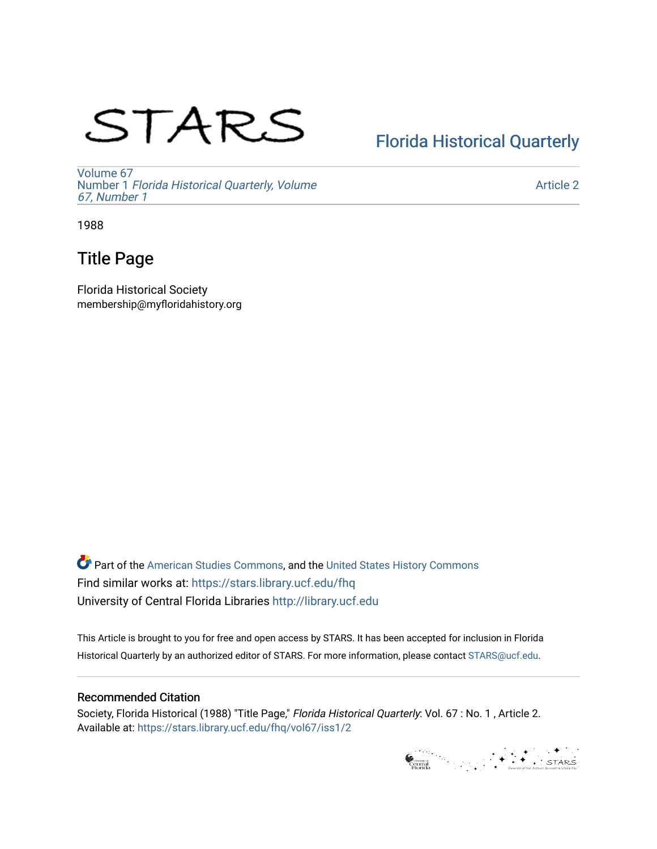# STARS

## [Florida Historical Quarterly](https://stars.library.ucf.edu/fhq)

[Volume 67](https://stars.library.ucf.edu/fhq/vol67) Number 1 [Florida Historical Quarterly, Volume](https://stars.library.ucf.edu/fhq/vol67/iss1)  [67, Number 1](https://stars.library.ucf.edu/fhq/vol67/iss1)

[Article 2](https://stars.library.ucf.edu/fhq/vol67/iss1/2) 

1988

## Title Page

Florida Historical Society membership@myfloridahistory.org

**C** Part of the [American Studies Commons](http://network.bepress.com/hgg/discipline/439?utm_source=stars.library.ucf.edu%2Ffhq%2Fvol67%2Fiss1%2F2&utm_medium=PDF&utm_campaign=PDFCoverPages), and the United States History Commons Find similar works at: <https://stars.library.ucf.edu/fhq> University of Central Florida Libraries [http://library.ucf.edu](http://library.ucf.edu/) 

This Article is brought to you for free and open access by STARS. It has been accepted for inclusion in Florida Historical Quarterly by an authorized editor of STARS. For more information, please contact [STARS@ucf.edu.](mailto:STARS@ucf.edu)

### Recommended Citation

Society, Florida Historical (1988) "Title Page," Florida Historical Quarterly: Vol. 67 : No. 1 , Article 2. Available at: [https://stars.library.ucf.edu/fhq/vol67/iss1/2](https://stars.library.ucf.edu/fhq/vol67/iss1/2?utm_source=stars.library.ucf.edu%2Ffhq%2Fvol67%2Fiss1%2F2&utm_medium=PDF&utm_campaign=PDFCoverPages) 

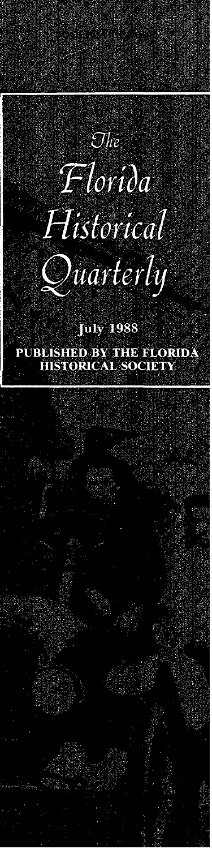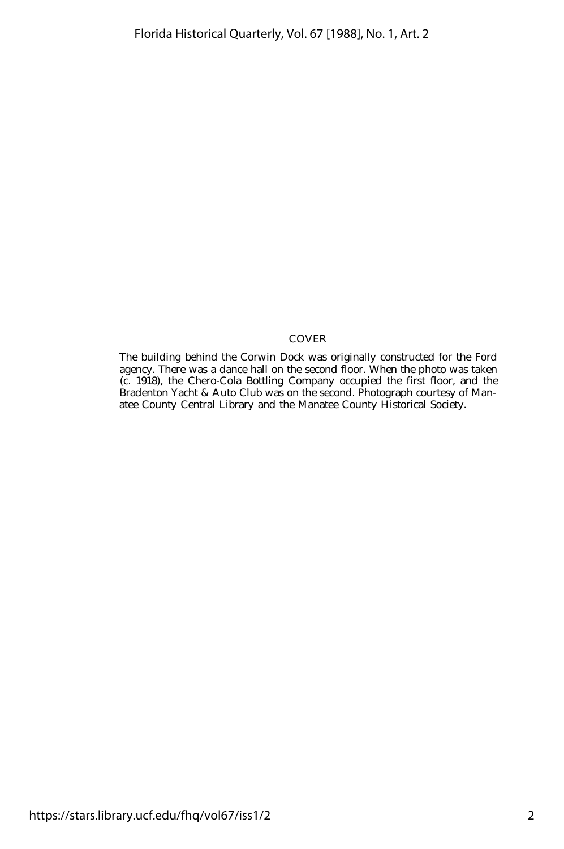#### COVER

The building behind the Corwin Dock was originally constructed for the Ford agency. There was a dance hall on the second floor. When the photo was taken (c. 1918), the Chero-Cola Bottling Company occupied the first floor, and the Bradenton Yacht & Auto Club was on the second. Photograph courtesy of Manatee County Central Library and the Manatee County Historical Society.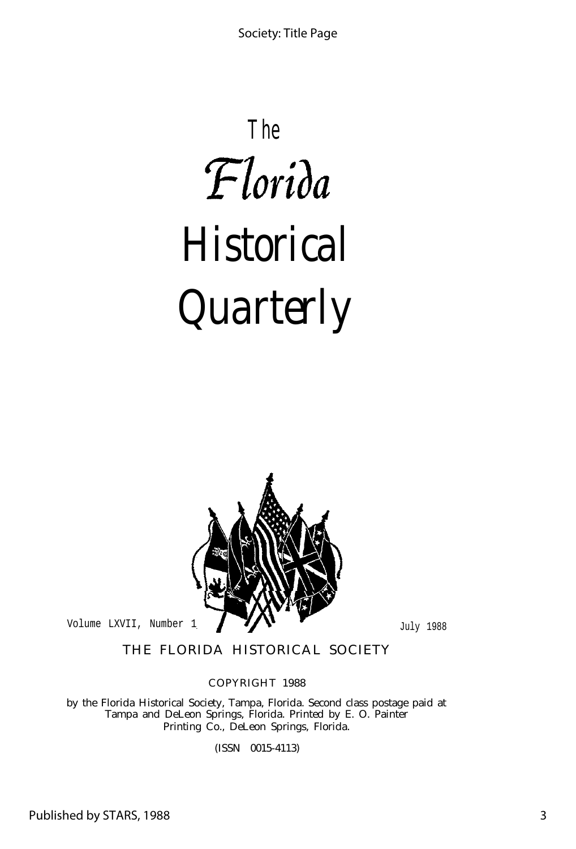# **The** Florida *Historical Quarterly*



THE FLORIDA HISTORICAL SOCIETY

COPYRIGHT 1988

by the Florida Historical Society, Tampa, Florida. Second class postage paid at Tampa and DeLeon Springs, Florida. Printed by E. O. Painter Printing Co., DeLeon Springs, Florida.

(ISSN 0015-4113)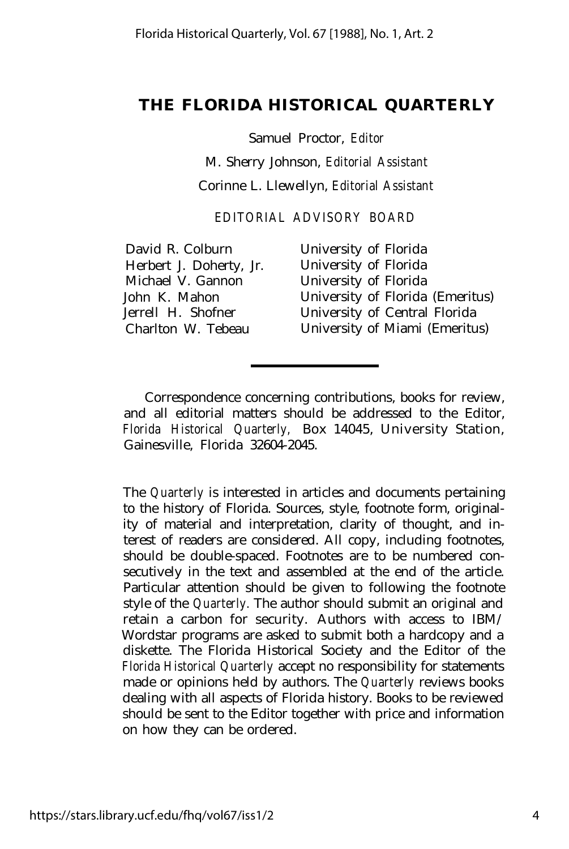### **THE FLORIDA HISTORICAL QUARTERLY**

Samuel Proctor, *Editor* M. Sherry Johnson, *Editorial Assistant* Corinne L. Llewellyn, *Editorial Assistant*

*EDITORIAL ADVISORY BOARD*

Herbert J. Doherty, Jr. University of Florida Michael V. Gannon University of Florida

David R. Colburn University of Florida John K. Mahon University of Florida (Emeritus) Jerrell H. Shofner University of Central Florida Charlton W. Tebeau University of Miami (Emeritus)

Correspondence concerning contributions, books for review, and all editorial matters should be addressed to the Editor, *Florida Historical Quarterly,* Box 14045, University Station, Gainesville, Florida 32604-2045.

The *Quarterly* is interested in articles and documents pertaining to the history of Florida. Sources, style, footnote form, originality of material and interpretation, clarity of thought, and interest of readers are considered. All copy, including footnotes, should be double-spaced. Footnotes are to be numbered consecutively in the text and assembled at the end of the article. Particular attention should be given to following the footnote style of the *Quarterly.* The author should submit an original and retain a carbon for security. Authors with access to IBM/ Wordstar programs are asked to submit both a hardcopy and a diskette. The Florida Historical Society and the Editor of the *Florida Historical Quarterly* accept no responsibility for statements made or opinions held by authors. The *Quarterly* reviews books dealing with all aspects of Florida history. Books to be reviewed should be sent to the Editor together with price and information on how they can be ordered.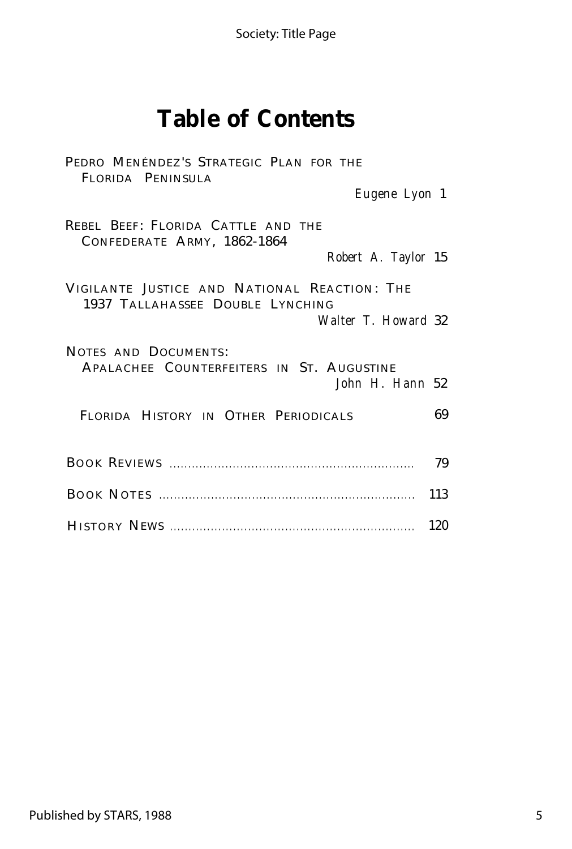Society: Title Page

## **Table of Contents**

| PEDRO MENÉNDEZ'S STRATEGIC PLAN FOR THE<br>FLORIDA PENINSULA                                            |     |
|---------------------------------------------------------------------------------------------------------|-----|
| Eugene Lyon 1                                                                                           |     |
| REBEL BEEF: FLORIDA CATTLE AND THE<br>CONFEDERATE ARMY, 1862-1864<br>Robert A. Taylor 15                |     |
| VIGILANTE JUSTICE AND NATIONAL REACTION: THE<br>1937 TALLAHASSEE DOUBLE LYNCHING<br>Walter T. Howard 32 |     |
| NOTES AND DOCUMENTS:<br>APALACHEE COUNTERFEITERS IN ST. AUGUSTINE<br>John H. Hann 52                    |     |
| FLORIDA HISTORY IN OTHER PERIODICALS                                                                    | 69  |
|                                                                                                         | 79  |
|                                                                                                         | 113 |
|                                                                                                         | 120 |